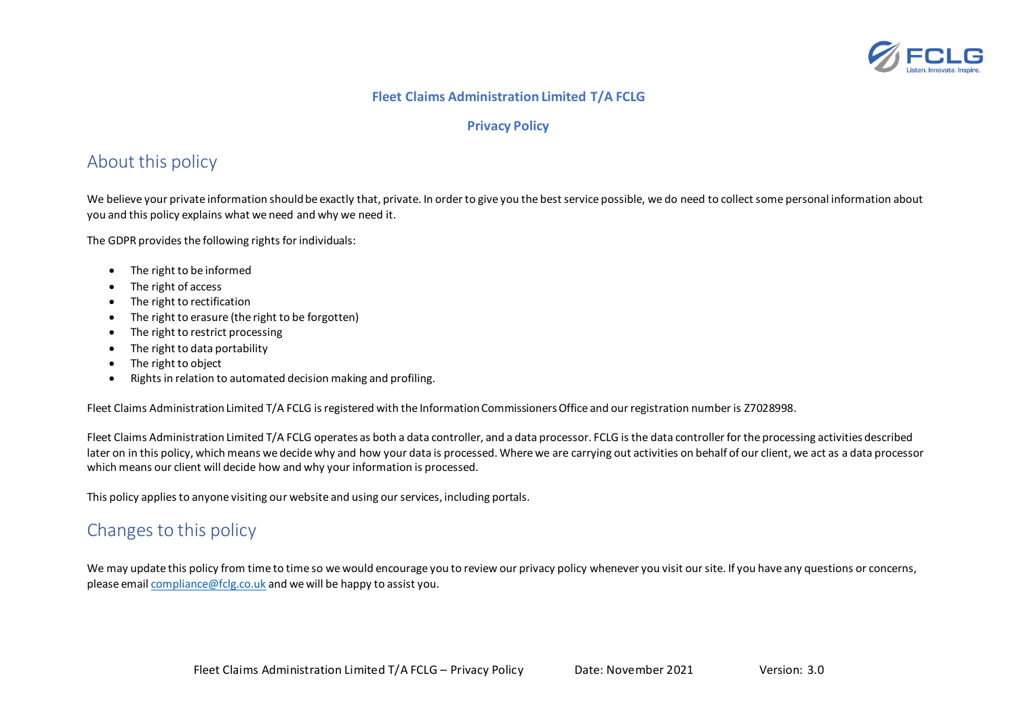

#### **Fleet Claims Administration Limited T/A FCLG**

#### **Privacy Policy**

# About this policy

We believe your private information should be exactly that, private. In order to give you the best service possible, we do need to collect some personal information about you and this policy explains what we need and why we need it.

The GDPR provides the following rights for individuals:

- The right to be informed
- The right of access
- The right to rectification
- The right to erasure (the right to be forgotten)
- The right to restrict processing
- The right to data portability
- The right to object
- Rights in relation to automated decision making and profiling.

Fleet Claims Administration Limited T/A FCLG is registered with the Information Commissioners Office and our registration number is Z7028998.

Fleet Claims Administration Limited T/A FCLG operates as both a data controller, and a data processor. FCLG is the data controller for the processing activities described later on in this policy, which means we decide why and how your data is processed. Where we are carrying out activities on behalf of our client, we act as a data processor which means our client will decide how and why your information is processed.

This policy applies to anyone visiting our website and using our services, including portals.

## Changes to this policy

We may update this policy from time to time so we would encourage you to review our privacy policy whenever you visit our site. If you have any questions or concerns, please email [compliance@fclg.co.uk](mailto:compliance@fclg.co.uk) and we will be happy to assist you.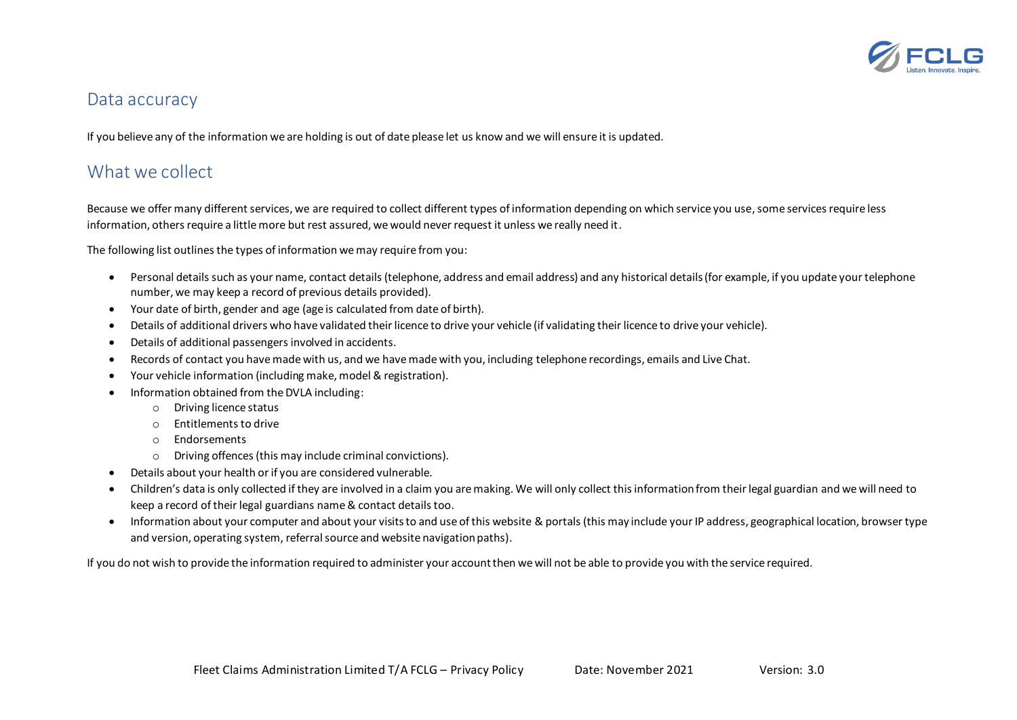

#### Data accuracy

If you believe any of the information we are holding is out of date please let us know and we will ensure it is updated.

#### What we collect

Because we offer many different services, we are required to collect different types of information depending on which service you use, some services require less information, others require a little more but rest assured, we would never request it unless we really need it.

The following list outlines the types of information we may require from you:

- Personal details such as your name, contact details (telephone, address and email address) and any historical details (for example, if you update your telephone number, we may keep a record of previous details provided).
- Your date of birth, gender and age (age is calculated from date of birth).
- Details of additional drivers who have validated their licence to drive your vehicle (if validating their licence to drive your vehicle).
- Details of additional passengers involved in accidents.
- Records of contact you have made with us, and we have made with you, including telephone recordings, emails and Live Chat.
- Your vehicle information (including make, model & registration).
- Information obtained from the DVLA including:
	- o Driving licence status
	- o Entitlements to drive
	- o Endorsements
	- o Driving offences (this may include criminal convictions).
- Details about your health or if you are considered vulnerable.
- Children's data is only collected if they are involved in a claim you are making. We will only collect this information from their legal guardian and we will need to keep a record of their legal guardians name & contact details too.
- Information about your computer and about your visits to and use of this website & portals (this may include your IP address, geographical location, browser type and version, operating system, referral source and website navigation paths).

If you do not wish to provide the information required to administer your account then we will not be able to provide you with the service required.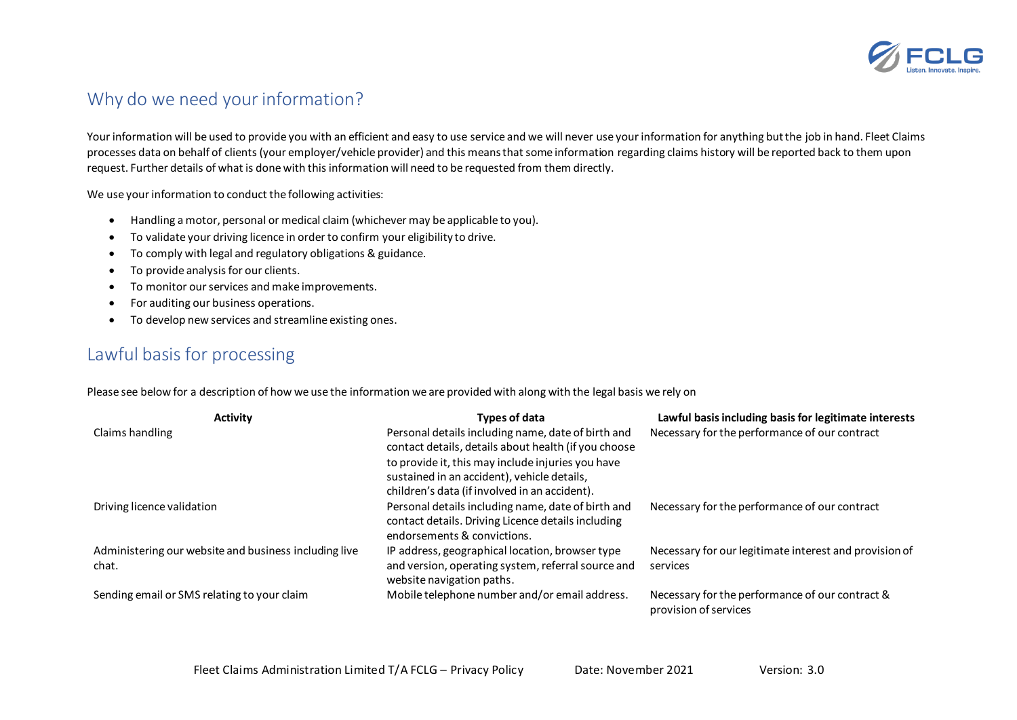

# Why do we need your information?

Your information will be used to provide you with an efficient and easy to use service and we will never use your information for anything but the job in hand. Fleet Claims processes data on behalf of clients (your employer/vehicle provider) and this means that some information regarding claims history will be reported back to them upon request. Further details of what is done with this information will need to be requested from them directly.

We use your information to conduct the following activities:

- Handling a motor, personal or medical claim (whichever may be applicable to you).
- To validate your driving licence in order to confirm your eligibility to drive.
- To comply with legal and regulatory obligations & guidance.
- To provide analysis for our clients.
- To monitor our services and make improvements.
- For auditing our business operations.
- To develop new services and streamline existing ones.

# Lawful basis for processing

Please see below for a description of how we use the information we are provided with along with the legal basis we rely on

| <b>Activity</b>                                                | Types of data                                                                                                                                                                                                                                                   | Lawful basis including basis for legitimate interests                    |
|----------------------------------------------------------------|-----------------------------------------------------------------------------------------------------------------------------------------------------------------------------------------------------------------------------------------------------------------|--------------------------------------------------------------------------|
| Claims handling                                                | Personal details including name, date of birth and<br>contact details, details about health (if you choose<br>to provide it, this may include injuries you have<br>sustained in an accident), vehicle details,<br>children's data (if involved in an accident). | Necessary for the performance of our contract                            |
| Driving licence validation                                     | Personal details including name, date of birth and<br>contact details. Driving Licence details including<br>endorsements & convictions.                                                                                                                         | Necessary for the performance of our contract                            |
| Administering our website and business including live<br>chat. | IP address, geographical location, browser type<br>and version, operating system, referral source and<br>website navigation paths.                                                                                                                              | Necessary for our legitimate interest and provision of<br>services       |
| Sending email or SMS relating to your claim                    | Mobile telephone number and/or email address.                                                                                                                                                                                                                   | Necessary for the performance of our contract &<br>provision of services |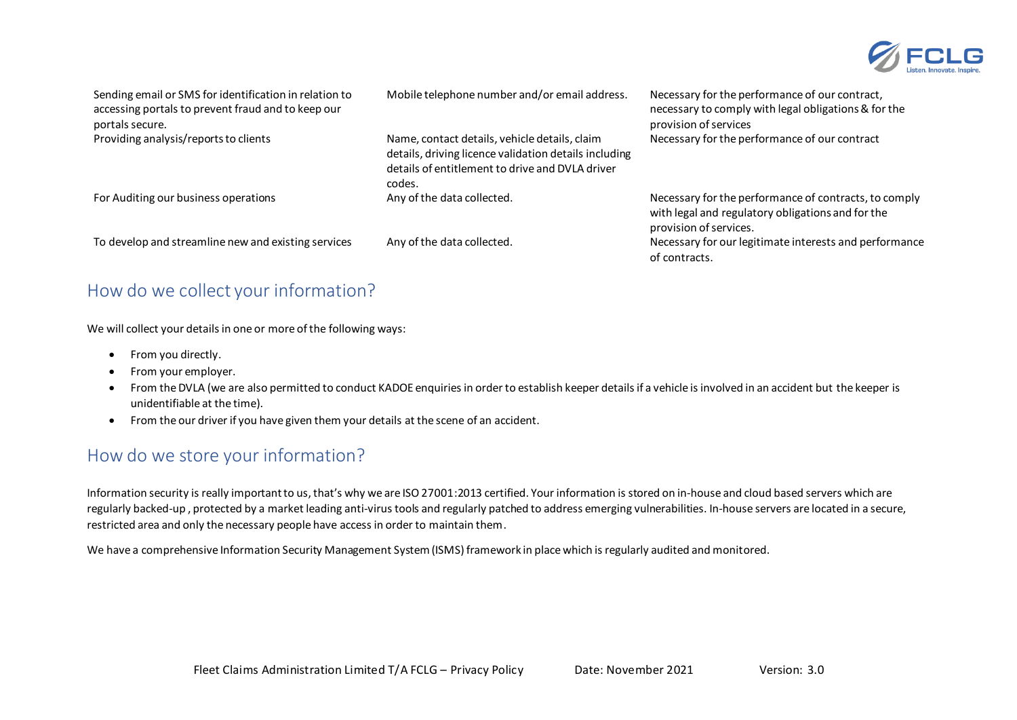

| Sending email or SMS for identification in relation to<br>accessing portals to prevent fraud and to keep our<br>portals secure. | Mobile telephone number and/or email address.                                                                                                                       | Necessary for the performance of our contract,<br>necessary to comply with legal obligations & for the<br>provision of services      |
|---------------------------------------------------------------------------------------------------------------------------------|---------------------------------------------------------------------------------------------------------------------------------------------------------------------|--------------------------------------------------------------------------------------------------------------------------------------|
| Providing analysis/reports to clients                                                                                           | Name, contact details, vehicle details, claim<br>details, driving licence validation details including<br>details of entitlement to drive and DVLA driver<br>codes. | Necessary for the performance of our contract                                                                                        |
| For Auditing our business operations                                                                                            | Any of the data collected.                                                                                                                                          | Necessary for the performance of contracts, to comply<br>with legal and regulatory obligations and for the<br>provision of services. |
| To develop and streamline new and existing services                                                                             | Any of the data collected.                                                                                                                                          | Necessary for our legitimate interests and performance<br>of contracts.                                                              |

# How do we collect your information?

We will collect your details in one or more of the following ways:

- From you directly.
- From your employer.
- From the DVLA (we are also permitted to conduct KADOE enquiries in order to establish keeper details if a vehicle is involved in an accident but the keeper is unidentifiable at the time).
- From the our driver if you have given them your details at the scene of an accident.

# How do we store your information?

Information security is really important to us, that's why we are ISO 27001:2013 certified. Your information is stored on in-house and cloud based servers which are regularly backed-up, protected by a market leading anti-virus tools and regularly patched to address emerging vulnerabilities. In-house servers are located in a secure, restricted area and only the necessary people have access in order to maintain them.

We have a comprehensive Information Security Management System (ISMS) framework in place which is regularly audited and monitored.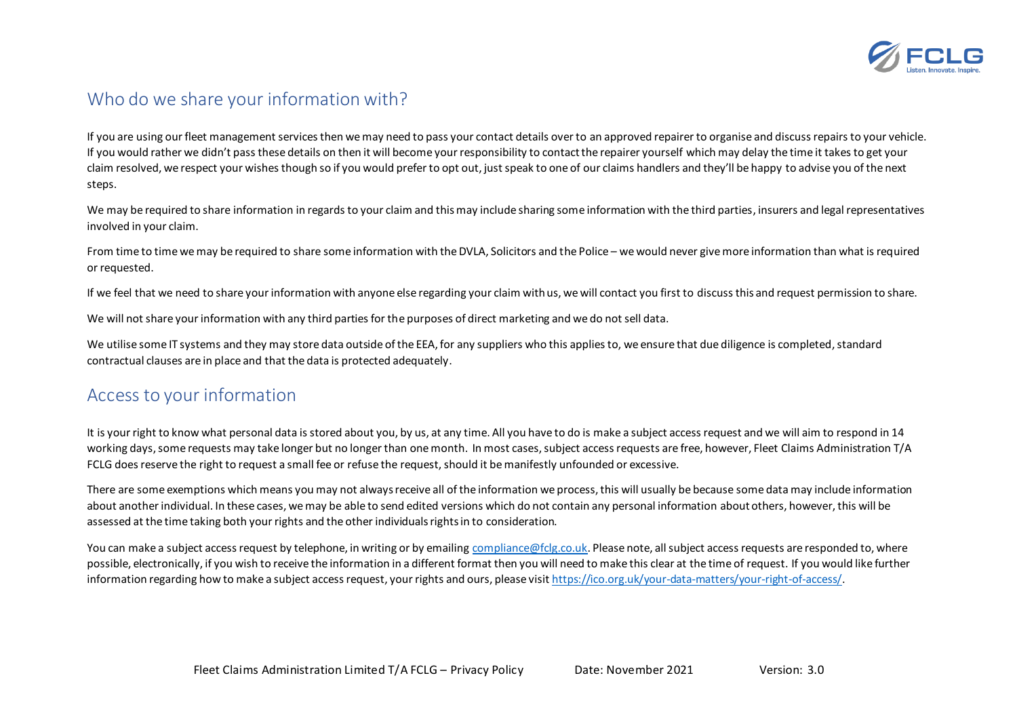

# Who do we share your information with?

If you are using our fleet management services then we may need to pass your contact details over to an approved repairer to organise and discuss repairs to your vehicle. If you would rather we didn't pass these details on then it will become your responsibility to contact the repairer yourself which may delay the time it takes to get your claim resolved, we respect your wishes though so if you would prefer to opt out, just speak to one of our claims handlers and they'll be happy to advise you of the next steps.

We may be required to share information in regards to your claim and this may include sharing some information with the third parties, insurers and legal representatives involved in your claim.

From time to time we may be required to share some information with the DVLA, Solicitors and the Police – we would never give more information than what is required or requested.

If we feel that we need to share your information with anyone else regarding your claim with us, we will contact you first to discuss this and request permission to share.

We will not share your information with any third parties for the purposes of direct marketing and we do not sell data.

We utilise some IT systems and they may store data outside of the EEA, for any suppliers who this applies to, we ensure that due diligence is completed, standard contractual clauses are in place and that the data is protected adequately.

## Access to your information

It is your right to know what personal data is stored about you, by us, at any time. All you have to do is make a subject access request and we will aim to respond in 14 working days, some requests may take longer but no longer than one month. In most cases, subject access requests are free, however, Fleet Claims Administration T/A FCLG does reserve the right to request a small fee or refuse the request,should it be manifestly unfounded or excessive.

There are some exemptions which means you may not always receive all ofthe information we process, this will usually be because some data may include information about another individual. In these cases, we may be able to send edited versions which do not contain any personal information about others, however, this will be assessed at the time taking both your rights and the other individuals rights in to consideration.

You can make a subject access request by telephone, in writing or by emailin[g compliance@fclg.co.uk.](mailto:compliance@fclg.co.uk) Please note, all subject access requests are responded to, where possible, electronically, if you wish to receive the information in a different format then you will need to make this clear at the time of request. If you would like further information regarding how to make a subject access request, your rights and ours, please visi[t https://ico.org.uk/your-data-matters/your-right-of-access/](https://ico.org.uk/your-data-matters/your-right-of-access/).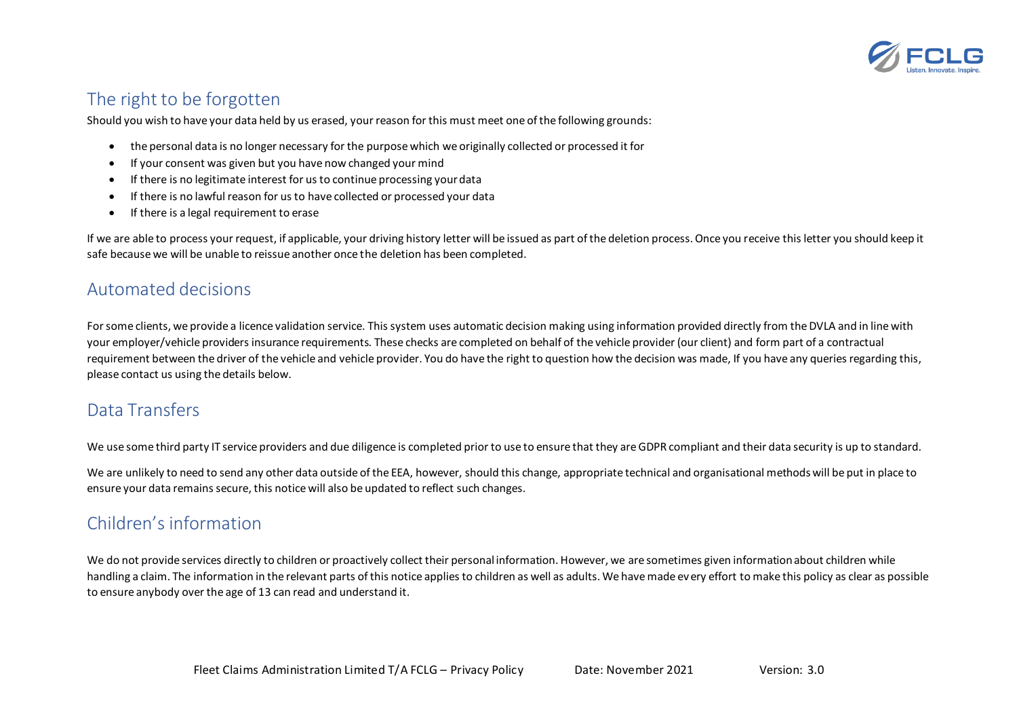

# The right to be forgotten

Should you wish to have your data held by us erased, your reason for this must meet one of the following grounds:

- the personal data is no longer necessary for the purpose which we originally collected or processed it for
- If your consent was given but you have now changed your mind
- If there is no legitimate interest for us to continue processing your data
- If there is no lawful reason for us to have collected or processed your data
- If there is a legal requirement to erase

If we are able to process your request, if applicable, your driving history letter will be issued as part of the deletion process. Once you receive this letter you should keep it safe because we will be unable to reissue another once the deletion has been completed.

#### Automated decisions

For some clients, we provide a licence validation service. This system uses automatic decision making using information provided directly from the DVLA and in line with your employer/vehicle providers insurance requirements. These checks are completed on behalf of the vehicle provider (our client) and form part of a contractual requirement between the driver of the vehicle and vehicle provider. You do have the right to question how the decision was made, If you have any queries regarding this, please contact us using the details below.

# Data Transfers

We use some third party IT service providers and due diligence is completed prior to use to ensure that they are GDPR compliant and their data security is up to standard.

We are unlikely to need to send any other data outside of the EEA, however, should this change, appropriate technical and organisational methods will be put in place to ensure your data remains secure, this notice will also be updated to reflect such changes.

# Children's information

We do not provide services directly to children or proactively collect their personal information. However, we are sometimes given information about children while handling a claim. The information in the relevant parts of this notice applies to children as well as adults. We have made every effort to make this policy as clear as possible to ensure anybody over the age of 13 can read and understand it.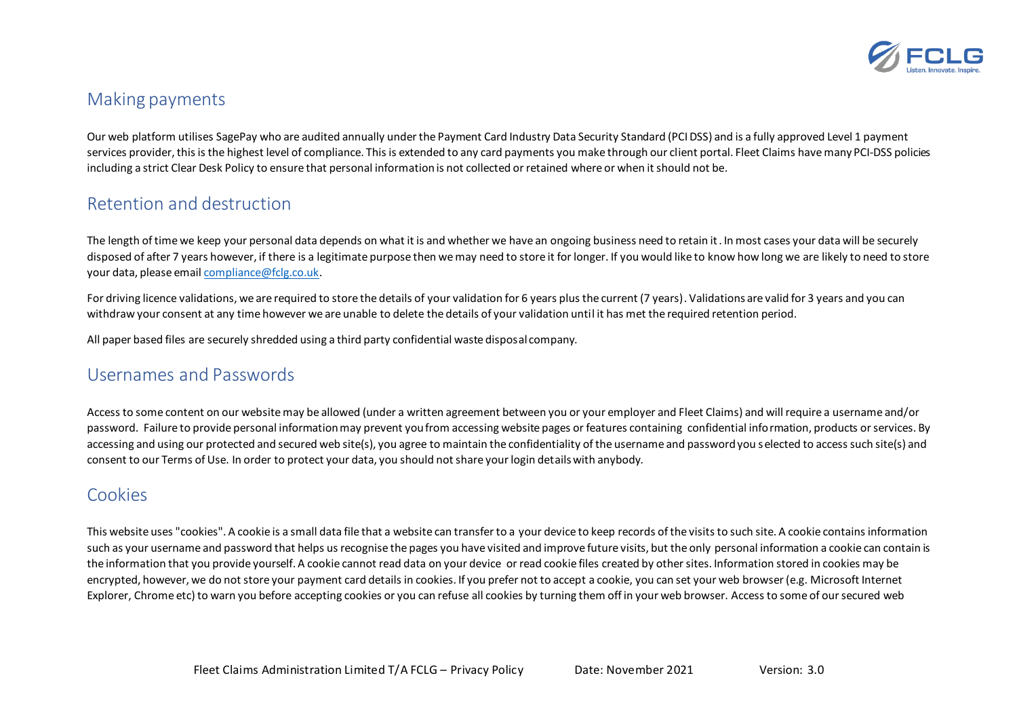

## Making payments

Our web platform utilises SagePay who are audited annually under the Payment Card Industry Data Security Standard (PCI DSS) and is a fully approved Level 1 payment services provider, this is the highest level of compliance. This is extended to any card payments you make through our client portal. Fleet Claims have many PCI-DSS policies including a strict Clear Desk Policy to ensure that personal information is not collected or retained where or when it should not be.

## Retention and destruction

The length of time we keep your personal data depends on what it is and whether we have an ongoing business need to retain it. In most cases your data will be securely disposed of after 7 years however, if there is a legitimate purpose then we may need to store it for longer. If you would like to know how long we are likely to need to store your data, please email [compliance@fclg.co.uk.](mailto:compliance@fclg.co.uk)

For driving licence validations, we are required to store the details of your validation for 6 years plus the current (7 years). Validations are valid for 3 years and you can withdraw your consent at any time however we are unable to delete the details of your validation until it has met the required retention period.

All paper based files are securely shredded using a third party confidential waste disposal company.

## Usernames and Passwords

Access to some content on our website may be allowed (under a written agreement between you or your employer and Fleet Claims) and will require a username and/or password. Failure to provide personal information may prevent you from accessing website pages or features containing confidential information, products or services. By accessing and using our protected and secured web site(s), you agree to maintain the confidentiality of the username and password you selected to access such site(s) and consent to our Terms of Use. In order to protect your data, you should not share your login details with anybody.

# Cookies

This website uses "cookies". A cookie is a small data file that a website can transfer to a your device to keep records of the visits to such site. A cookie contains information such as your username and password that helps us recognise the pages you have visited and improve future visits, but the only personal information a cookie can contain is the information that you provide yourself. A cookie cannot read data on your device or read cookie files created by other sites. Information stored in cookies may be encrypted, however, we do not store your payment card details in cookies. If you prefer not to accept a cookie, you can set your web browser (e.g. Microsoft Internet Explorer, Chrome etc) to warn you before accepting cookies or you can refuse all cookies by turning them off in your web browser. Access to some of our secured web